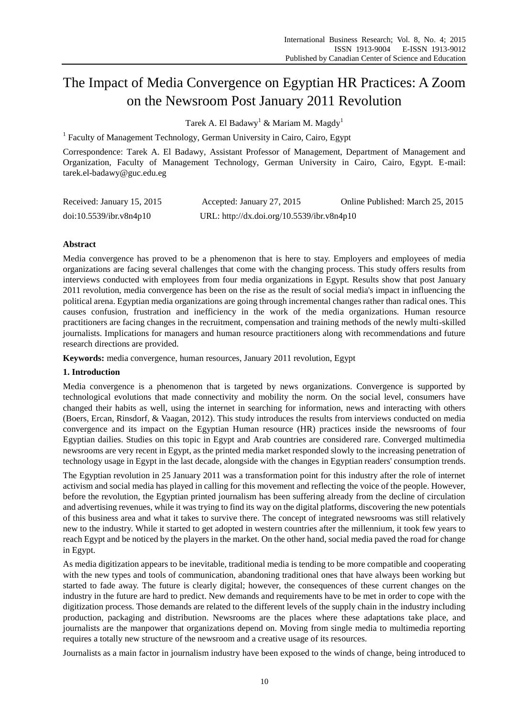# The Impact of Media Convergence on Egyptian HR Practices: A Zoom on the Newsroom Post January 2011 Revolution

Tarek A. El Badawy<sup>1</sup> & Mariam M. Magdy<sup>1</sup>

<sup>1</sup> Faculty of Management Technology, German University in Cairo, Cairo, Egypt

Correspondence: Tarek A. El Badawy, Assistant Professor of Management, Department of Management and Organization, Faculty of Management Technology, German University in Cairo, Cairo, Egypt. E-mail: tarek.el-badawy@guc.edu.eg

| Received: January 15, 2015 | Accepted: January 27, 2015                 | Online Published: March 25, 2015 |
|----------------------------|--------------------------------------------|----------------------------------|
| doi:10.5539/ibr.v8n4p10    | URL: http://dx.doi.org/10.5539/ibr.v8n4p10 |                                  |

## **Abstract**

Media convergence has proved to be a phenomenon that is here to stay. Employers and employees of media organizations are facing several challenges that come with the changing process. This study offers results from interviews conducted with employees from four media organizations in Egypt. Results show that post January 2011 revolution, media convergence has been on the rise as the result of social media's impact in influencing the political arena. Egyptian media organizations are going through incremental changes rather than radical ones. This causes confusion, frustration and inefficiency in the work of the media organizations. Human resource practitioners are facing changes in the recruitment, compensation and training methods of the newly multi-skilled journalists. Implications for managers and human resource practitioners along with recommendations and future research directions are provided.

**Keywords:** media convergence, human resources, January 2011 revolution, Egypt

## **1. Introduction**

Media convergence is a phenomenon that is targeted by news organizations. Convergence is supported by technological evolutions that made connectivity and mobility the norm. On the social level, consumers have changed their habits as well, using the internet in searching for information, news and interacting with others (Boers, Ercan, Rinsdorf, & Vaagan, 2012). This study introduces the results from interviews conducted on media convergence and its impact on the Egyptian Human resource (HR) practices inside the newsrooms of four Egyptian dailies. Studies on this topic in Egypt and Arab countries are considered rare. Converged multimedia newsrooms are very recent in Egypt, as the printed media market responded slowly to the increasing penetration of technology usage in Egypt in the last decade, alongside with the changes in Egyptian readers' consumption trends.

The Egyptian revolution in 25 January 2011 was a transformation point for this industry after the role of internet activism and social media has played in calling for this movement and reflecting the voice of the people. However, before the revolution, the Egyptian printed journalism has been suffering already from the decline of circulation and advertising revenues, while it was trying to find its way on the digital platforms, discovering the new potentials of this business area and what it takes to survive there. The concept of integrated newsrooms was still relatively new to the industry. While it started to get adopted in western countries after the millennium, it took few years to reach Egypt and be noticed by the players in the market. On the other hand, social media paved the road for change in Egypt.

As media digitization appears to be inevitable, traditional media is tending to be more compatible and cooperating with the new types and tools of communication, abandoning traditional ones that have always been working but started to fade away. The future is clearly digital; however, the consequences of these current changes on the industry in the future are hard to predict. New demands and requirements have to be met in order to cope with the digitization process. Those demands are related to the different levels of the supply chain in the industry including production, packaging and distribution. Newsrooms are the places where these adaptations take place, and journalists are the manpower that organizations depend on. Moving from single media to multimedia reporting requires a totally new structure of the newsroom and a creative usage of its resources.

Journalists as a main factor in journalism industry have been exposed to the winds of change, being introduced to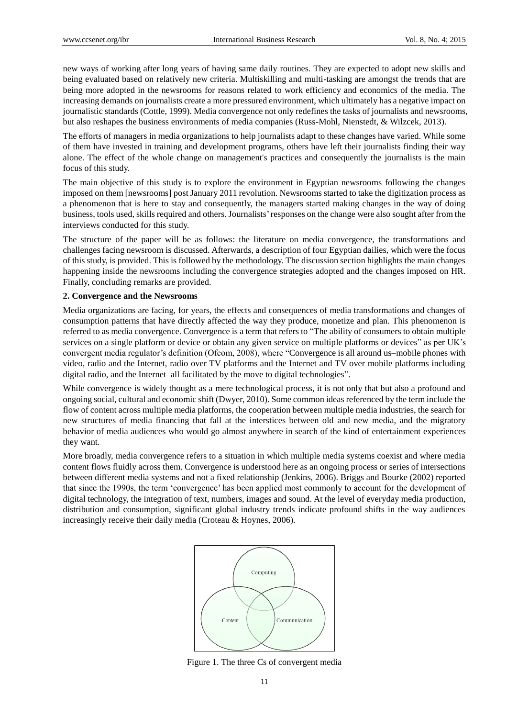new ways of working after long years of having same daily routines. They are expected to adopt new skills and being evaluated based on relatively new criteria. Multiskilling and multi-tasking are amongst the trends that are being more adopted in the newsrooms for reasons related to work efficiency and economics of the media. The increasing demands on journalists create a more pressured environment, which ultimately has a negative impact on journalistic standards (Cottle, 1999). Media convergence not only redefines the tasks of journalists and newsrooms, but also reshapes the business environments of media companies (Russ-Mohl, Nienstedt, & Wilzcek, 2013).

The efforts of managers in media organizations to help journalists adapt to these changes have varied. While some of them have invested in training and development programs, others have left their journalists finding their way alone. The effect of the whole change on management's practices and consequently the journalists is the main focus of this study.

The main objective of this study is to explore the environment in Egyptian newsrooms following the changes imposed on them [newsrooms] post January 2011 revolution. Newsrooms started to take the digitization process as a phenomenon that is here to stay and consequently, the managers started making changes in the way of doing business, tools used, skills required and others. Journalists' responses on the change were also sought after from the interviews conducted for this study.

The structure of the paper will be as follows: the literature on media convergence, the transformations and challenges facing newsroom is discussed. Afterwards, a description of four Egyptian dailies, which were the focus of this study, is provided. This is followed by the methodology. The discussion section highlights the main changes happening inside the newsrooms including the convergence strategies adopted and the changes imposed on HR. Finally, concluding remarks are provided.

#### **2. Convergence and the Newsrooms**

Media organizations are facing, for years, the effects and consequences of media transformations and changes of consumption patterns that have directly affected the way they produce, monetize and plan. This phenomenon is referred to as media convergence. Convergence is a term that refers to "The ability of consumers to obtain multiple services on a single platform or device or obtain any given service on multiple platforms or devices" as per UK"s convergent media regulator"s definition (Ofcom, 2008), where "Convergence is all around us–mobile phones with video, radio and the Internet, radio over TV platforms and the Internet and TV over mobile platforms including digital radio, and the Internet–all facilitated by the move to digital technologies".

While convergence is widely thought as a mere technological process, it is not only that but also a profound and ongoing social, cultural and economic shift (Dwyer, 2010). Some common ideas referenced by the term include the flow of content across multiple media platforms, the cooperation between multiple media industries, the search for new structures of media financing that fall at the interstices between old and new media, and the migratory behavior of media audiences who would go almost anywhere in search of the kind of entertainment experiences they want.

More broadly, media convergence refers to a situation in which multiple media systems coexist and where media content flows fluidly across them. Convergence is understood here as an ongoing process or series of intersections between different media systems and not a fixed relationship (Jenkins, 2006). Briggs and Bourke (2002) reported that since the 1990s, the term "convergence" has been applied most commonly to account for the development of digital technology, the integration of text, numbers, images and sound. At the level of everyday media production, distribution and consumption, significant global industry trends indicate profound shifts in the way audiences increasingly receive their daily media (Croteau & Hoynes, 2006).



Figure 1. The three Cs of convergent media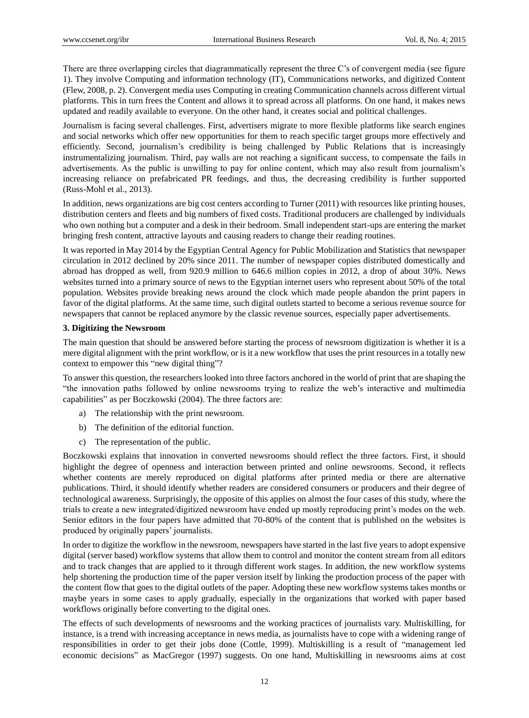There are three overlapping circles that diagrammatically represent the three C"s of convergent media (see figure 1). They involve Computing and information technology (IT), Communications networks, and digitized Content (Flew, 2008, p. 2). Convergent media uses Computing in creating Communication channels across different virtual platforms. This in turn frees the Content and allows it to spread across all platforms. On one hand, it makes news updated and readily available to everyone. On the other hand, it creates social and political challenges.

Journalism is facing several challenges. First, advertisers migrate to more flexible platforms like search engines and social networks which offer new opportunities for them to reach specific target groups more effectively and efficiently. Second, journalism"s credibility is being challenged by Public Relations that is increasingly instrumentalizing journalism. Third, pay walls are not reaching a significant success, to compensate the fails in advertisements. As the public is unwilling to pay for online content, which may also result from journalism"s increasing reliance on prefabricated PR feedings, and thus, the decreasing credibility is further supported (Russ-Mohl et al., 2013).

In addition, news organizations are big cost centers according to Turner (2011) with resources like printing houses, distribution centers and fleets and big numbers of fixed costs. Traditional producers are challenged by individuals who own nothing but a computer and a desk in their bedroom. Small independent start-ups are entering the market bringing fresh content, attractive layouts and causing readers to change their reading routines.

It was reported in May 2014 by the Egyptian Central Agency for Public Mobilization and Statistics that newspaper circulation in 2012 declined by 20% since 2011. The number of newspaper copies distributed domestically and abroad has dropped as well, from 920.9 million to 646.6 million copies in 2012, a drop of about 30%. News websites turned into a primary source of news to the Egyptian internet users who represent about 50% of the total population. Websites provide breaking news around the clock which made people abandon the print papers in favor of the digital platforms. At the same time, such digital outlets started to become a serious revenue source for newspapers that cannot be replaced anymore by the classic revenue sources, especially paper advertisements.

## **3. Digitizing the Newsroom**

The main question that should be answered before starting the process of newsroom digitization is whether it is a mere digital alignment with the print workflow, or is it a new workflow that uses the print resources in a totally new context to empower this "new digital thing"?

To answer this question, the researchers looked into three factors anchored in the world of print that are shaping the "the innovation paths followed by online newsrooms trying to realize the web"s interactive and multimedia capabilities" as per Boczkowski (2004). The three factors are:

- a) The relationship with the print newsroom.
- b) The definition of the editorial function.
- c) The representation of the public.

Boczkowski explains that innovation in converted newsrooms should reflect the three factors. First, it should highlight the degree of openness and interaction between printed and online newsrooms. Second, it reflects whether contents are merely reproduced on digital platforms after printed media or there are alternative publications. Third, it should identify whether readers are considered consumers or producers and their degree of technological awareness. Surprisingly, the opposite of this applies on almost the four cases of this study, where the trials to create a new integrated/digitized newsroom have ended up mostly reproducing print"s modes on the web. Senior editors in the four papers have admitted that 70-80% of the content that is published on the websites is produced by originally papers" journalists.

In order to digitize the workflow in the newsroom, newspapers have started in the last five years to adopt expensive digital (server based) workflow systems that allow them to control and monitor the content stream from all editors and to track changes that are applied to it through different work stages. In addition, the new workflow systems help shortening the production time of the paper version itself by linking the production process of the paper with the content flow that goes to the digital outlets of the paper. Adopting these new workflow systems takes months or maybe years in some cases to apply gradually, especially in the organizations that worked with paper based workflows originally before converting to the digital ones.

The effects of such developments of newsrooms and the working practices of journalists vary. Multiskilling, for instance, is a trend with increasing acceptance in news media, as journalists have to cope with a widening range of responsibilities in order to get their jobs done (Cottle, 1999). Multiskilling is a result of "management led economic decisions" as MacGregor (1997) suggests. On one hand, Multiskilling in newsrooms aims at cost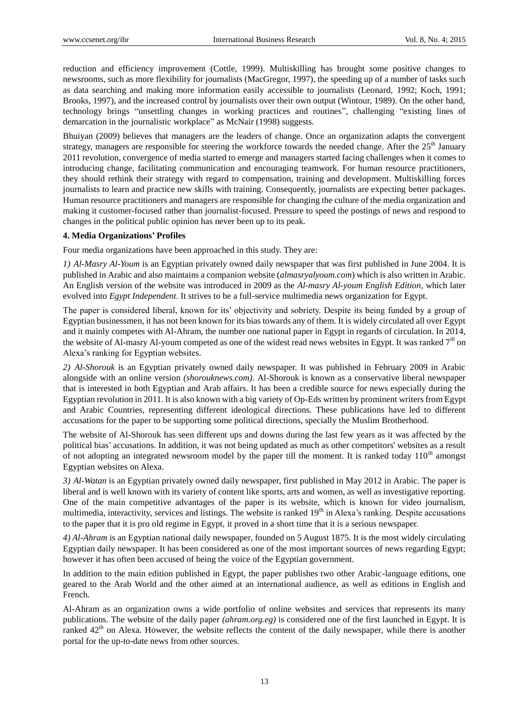reduction and efficiency improvement (Cottle, 1999). Multiskilling has brought some positive changes to newsrooms, such as more flexibility for journalists (MacGregor, 1997), the speeding up of a number of tasks such as data searching and making more information easily accessible to journalists (Leonard, 1992; Koch, 1991; Brooks, 1997), and the increased control by journalists over their own output (Wintour, 1989). On the other hand, technology brings "unsettling changes in working practices and routines", challenging "existing lines of demarcation in the journalistic workplace" as McNair (1998) suggests.

Bhuiyan (2009) believes that managers are the leaders of change. Once an organization adapts the convergent strategy, managers are responsible for steering the workforce towards the needed change. After the 25<sup>th</sup> January 2011 revolution, convergence of media started to emerge and managers started facing challenges when it comes to introducing change, facilitating communication and encouraging teamwork. For human resource practitioners, they should rethink their strategy with regard to compensation, training and development. Multiskilling forces journalists to learn and practice new skills with training. Consequently, journalists are expecting better packages. Human resource practitioners and managers are responsible for changing the culture of the media organization and making it customer-focused rather than journalist-focused. Pressure to speed the postings of news and respond to changes in the political public opinion has never been up to its peak.

## **4. Media Organizations' Profiles**

Four media organizations have been approached in this study. They are:

*1) Al-Masry Al-Youm* is an Egyptian privately owned daily newspaper that was first published in June 2004. It is published in Arabic and also maintains a companion website (*almasryalyoum.com*) which is also written in Arabic. An English version of the website was introduced in 2009 as the *Al-masry Al-youm English Edition*, which later evolved into *Egypt Independent*. It strives to be a full-service multimedia news organization for Egypt.

The paper is considered liberal, known for its" objectivity and sobriety. Despite its being funded by a group of Egyptian businessmen, it has not been known for its bias towards any of them. It is widely circulated all over Egypt and it mainly competes with Al-Ahram, the number one national paper in Egypt in regards of circulation. In 2014, the website of Al-masry Al-youm competed as one of the widest read news websites in Egypt. It was ranked 7<sup>th</sup> on Alexa"s ranking for Egyptian websites.

*2) Al-Shorouk* is an Egyptian privately owned daily newspaper. It was published in February 2009 in Arabic alongside with an online version *(shorouknews.com)*. Al-Shorouk is known as a conservative liberal newspaper that is interested in both Egyptian and Arab affairs. It has been a credible source for news especially during the Egyptian revolution in 2011. It is also known with a big variety of Op-Eds written by prominent writers from Egypt and Arabic Countries, representing different ideological directions. These publications have led to different accusations for the paper to be supporting some political directions, specially the Muslim Brotherhood.

The website of Al-Shorouk has seen different ups and downs during the last few years as it was affected by the political bias" accusations. In addition, it was not being updated as much as other competitors' websites as a result of not adopting an integrated newsroom model by the paper till the moment. It is ranked today  $110<sup>th</sup>$  amongst Egyptian websites on Alexa.

*3) Al-Watan* is an Egyptian privately owned daily newspaper, first published in May 2012 in Arabic. The paper is liberal and is well known with its variety of content like sports, arts and women, as well as investigative reporting. One of the main competitive advantages of the paper is its website, which is known for video journalism, multimedia, interactivity, services and listings. The website is ranked 19<sup>th</sup> in Alexa's ranking. Despite accusations to the paper that it is pro old regime in Egypt, it proved in a short time that it is a serious newspaper.

*4) Al-Ahram* is an Egyptian national daily newspaper, founded on 5 August 1875. It is the most widely circulating Egyptian daily newspaper. It has been considered as one of the most important sources of news regarding Egypt; however it has often been accused of being the voice of the Egyptian government.

In addition to the main edition published in Egypt, the paper publishes two other Arabic-language editions, one geared to the Arab World and the other aimed at an international audience, as well as editions in English and French.

Al-Ahram as an organization owns a wide portfolio of online websites and services that represents its many publications. The website of the daily paper *(ahram.org.eg)* is considered one of the first launched in Egypt. It is ranked 42<sup>th</sup> on Alexa. However, the website reflects the content of the daily newspaper, while there is another portal for the up-to-date news from other sources.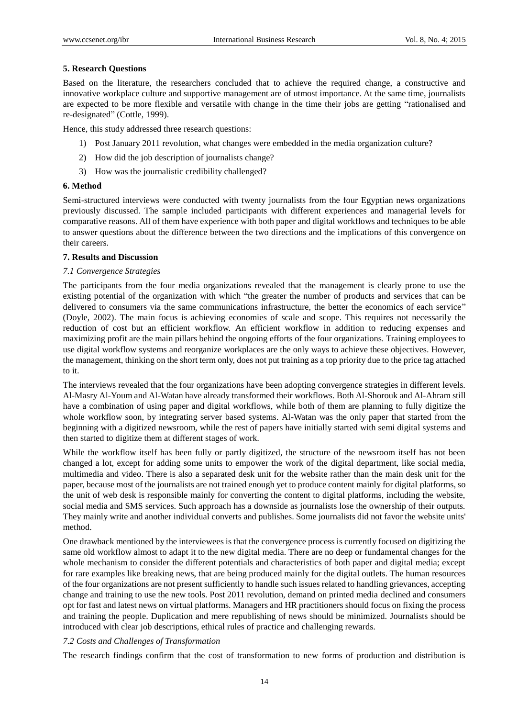# **5. Research Questions**

Based on the literature, the researchers concluded that to achieve the required change, a constructive and innovative workplace culture and supportive management are of utmost importance. At the same time, journalists are expected to be more flexible and versatile with change in the time their jobs are getting "rationalised and re-designated" (Cottle, 1999).

Hence, this study addressed three research questions:

- 1) Post January 2011 revolution, what changes were embedded in the media organization culture?
- 2) How did the job description of journalists change?
- 3) How was the journalistic credibility challenged?

# **6. Method**

Semi-structured interviews were conducted with twenty journalists from the four Egyptian news organizations previously discussed. The sample included participants with different experiences and managerial levels for comparative reasons. All of them have experience with both paper and digital workflows and techniques to be able to answer questions about the difference between the two directions and the implications of this convergence on their careers.

# **7. Results and Discussion**

# *7.1 Convergence Strategies*

The participants from the four media organizations revealed that the management is clearly prone to use the existing potential of the organization with which "the greater the number of products and services that can be delivered to consumers via the same communications infrastructure, the better the economics of each service" (Doyle, 2002). The main focus is achieving economies of scale and scope. This requires not necessarily the reduction of cost but an efficient workflow. An efficient workflow in addition to reducing expenses and maximizing profit are the main pillars behind the ongoing efforts of the four organizations. Training employees to use digital workflow systems and reorganize workplaces are the only ways to achieve these objectives. However, the management, thinking on the short term only, does not put training as a top priority due to the price tag attached to it.

The interviews revealed that the four organizations have been adopting convergence strategies in different levels. Al-Masry Al-Youm and Al-Watan have already transformed their workflows. Both Al-Shorouk and Al-Ahram still have a combination of using paper and digital workflows, while both of them are planning to fully digitize the whole workflow soon, by integrating server based systems. Al-Watan was the only paper that started from the beginning with a digitized newsroom, while the rest of papers have initially started with semi digital systems and then started to digitize them at different stages of work.

While the workflow itself has been fully or partly digitized, the structure of the newsroom itself has not been changed a lot, except for adding some units to empower the work of the digital department, like social media, multimedia and video. There is also a separated desk unit for the website rather than the main desk unit for the paper, because most of the journalists are not trained enough yet to produce content mainly for digital platforms, so the unit of web desk is responsible mainly for converting the content to digital platforms, including the website, social media and SMS services. Such approach has a downside as journalists lose the ownership of their outputs. They mainly write and another individual converts and publishes. Some journalists did not favor the website units' method.

One drawback mentioned by the interviewees is that the convergence process is currently focused on digitizing the same old workflow almost to adapt it to the new digital media. There are no deep or fundamental changes for the whole mechanism to consider the different potentials and characteristics of both paper and digital media; except for rare examples like breaking news, that are being produced mainly for the digital outlets. The human resources of the four organizations are not present sufficiently to handle such issues related to handling grievances, accepting change and training to use the new tools. Post 2011 revolution, demand on printed media declined and consumers opt for fast and latest news on virtual platforms. Managers and HR practitioners should focus on fixing the process and training the people. Duplication and mere republishing of news should be minimized. Journalists should be introduced with clear job descriptions, ethical rules of practice and challenging rewards.

## *7.2 Costs and Challenges of Transformation*

The research findings confirm that the cost of transformation to new forms of production and distribution is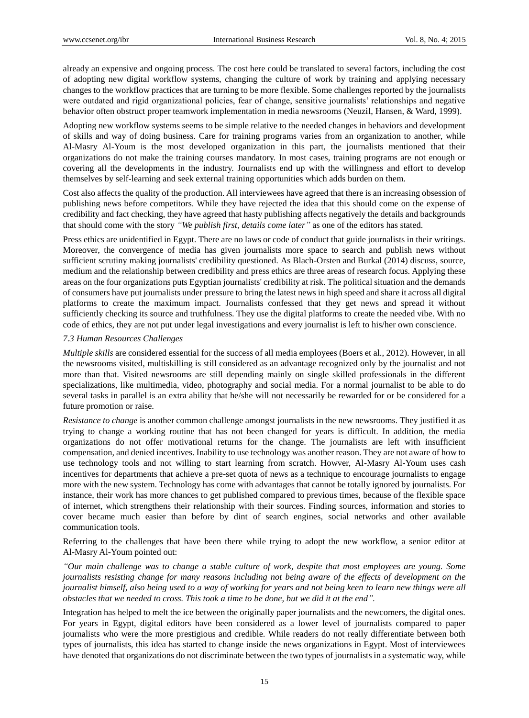already an expensive and ongoing process. The cost here could be translated to several factors, including the cost of adopting new digital workflow systems, changing the culture of work by training and applying necessary changes to the workflow practices that are turning to be more flexible. Some challenges reported by the journalists were outdated and rigid organizational policies, fear of change, sensitive journalists" relationships and negative behavior often obstruct proper teamwork implementation in media newsrooms (Neuzil, Hansen, & Ward, 1999).

Adopting new workflow systems seems to be simple relative to the needed changes in behaviors and development of skills and way of doing business. Care for training programs varies from an organization to another, while Al-Masry Al-Youm is the most developed organization in this part, the journalists mentioned that their organizations do not make the training courses mandatory. In most cases, training programs are not enough or covering all the developments in the industry. Journalists end up with the willingness and effort to develop themselves by self-learning and seek external training opportunities which adds burden on them.

Cost also affects the quality of the production. All interviewees have agreed that there is an increasing obsession of publishing news before competitors. While they have rejected the idea that this should come on the expense of credibility and fact checking, they have agreed that hasty publishing affects negatively the details and backgrounds that should come with the story *"We publish first, details come later"* as one of the editors has stated.

Press ethics are unidentified in Egypt. There are no laws or code of conduct that guide journalists in their writings. Moreover, the convergence of media has given journalists more space to search and publish news without sufficient scrutiny making journalists' credibility questioned. As Blach-Orsten and Burkal (2014) discuss, source, medium and the relationship between credibility and press ethics are three areas of research focus. Applying these areas on the four organizations puts Egyptian journalists' credibility at risk. The political situation and the demands of consumers have put journalists under pressure to bring the latest news in high speed and share it across all digital platforms to create the maximum impact. Journalists confessed that they get news and spread it without sufficiently checking its source and truthfulness. They use the digital platforms to create the needed vibe. With no code of ethics, they are not put under legal investigations and every journalist is left to his/her own conscience.

#### *7.3 Human Resources Challenges*

*Multiple skills* are considered essential for the success of all media employees (Boers et al., 2012). However, in all the newsrooms visited, multiskilling is still considered as an advantage recognized only by the journalist and not more than that. Visited newsrooms are still depending mainly on single skilled professionals in the different specializations, like multimedia, video, photography and social media. For a normal journalist to be able to do several tasks in parallel is an extra ability that he/she will not necessarily be rewarded for or be considered for a future promotion or raise.

*Resistance to change* is another common challenge amongst journalists in the new newsrooms. They justified it as trying to change a working routine that has not been changed for years is difficult. In addition, the media organizations do not offer motivational returns for the change. The journalists are left with insufficient compensation, and denied incentives. Inability to use technology was another reason. They are not aware of how to use technology tools and not willing to start learning from scratch. Howver, Al-Masry Al-Youm uses cash incentives for departments that achieve a pre-set quota of news as a technique to encourage journalists to engage more with the new system. Technology has come with advantages that cannot be totally ignored by journalists. For instance, their work has more chances to get published compared to previous times, because of the flexible space of internet, which strengthens their relationship with their sources. Finding sources, information and stories to cover became much easier than before by dint of search engines, social networks and other available communication tools.

Referring to the challenges that have been there while trying to adopt the new workflow, a senior editor at Al-Masry Al-Youm pointed out:

*"Our main challenge was to change a stable culture of work, despite that most employees are young. Some journalists resisting change for many reasons including not being aware of the effects of development on the journalist himself, also being used to a way of working for years and not being keen to learn new things were all obstacles that we needed to cross. This took a time to be done, but we did it at the end".*

Integration has helped to melt the ice between the originally paper journalists and the newcomers, the digital ones. For years in Egypt, digital editors have been considered as a lower level of journalists compared to paper journalists who were the more prestigious and credible. While readers do not really differentiate between both types of journalists, this idea has started to change inside the news organizations in Egypt. Most of interviewees have denoted that organizations do not discriminate between the two types of journalists in a systematic way, while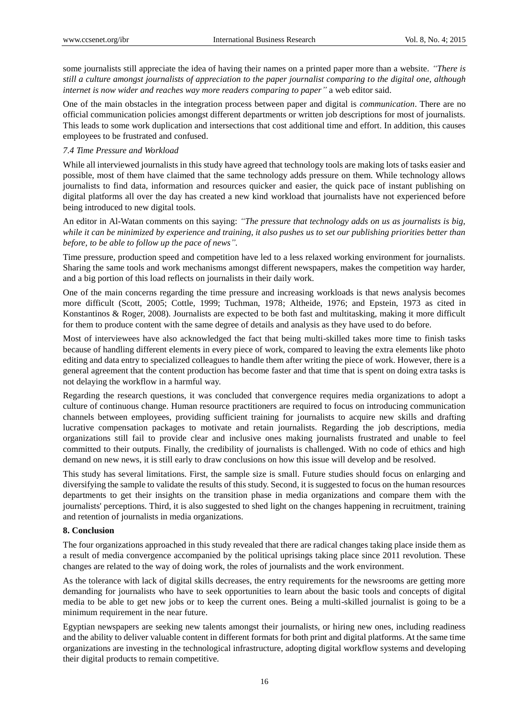some journalists still appreciate the idea of having their names on a printed paper more than a website. *"There is still a culture amongst journalists of appreciation to the paper journalist comparing to the digital one, although internet is now wider and reaches way more readers comparing to paper"* a web editor said.

One of the main obstacles in the integration process between paper and digital is *communication*. There are no official communication policies amongst different departments or written job descriptions for most of journalists. This leads to some work duplication and intersections that cost additional time and effort. In addition, this causes employees to be frustrated and confused.

# *7.4 Time Pressure and Workload*

While all interviewed journalists in this study have agreed that technology tools are making lots of tasks easier and possible, most of them have claimed that the same technology adds pressure on them. While technology allows journalists to find data, information and resources quicker and easier, the quick pace of instant publishing on digital platforms all over the day has created a new kind workload that journalists have not experienced before being introduced to new digital tools.

An editor in Al-Watan comments on this saying: *"The pressure that technology adds on us as journalists is big, while it can be minimized by experience and training, it also pushes us to set our publishing priorities better than before, to be able to follow up the pace of news".*

Time pressure, production speed and competition have led to a less relaxed working environment for journalists. Sharing the same tools and work mechanisms amongst different newspapers, makes the competition way harder, and a big portion of this load reflects on journalists in their daily work.

One of the main concerns regarding the time pressure and increasing workloads is that news analysis becomes more difficult (Scott, 2005; Cottle, 1999; Tuchman, 1978; Altheide, 1976; and Epstein, 1973 as cited in Konstantinos & Roger, 2008). Journalists are expected to be both fast and multitasking, making it more difficult for them to produce content with the same degree of details and analysis as they have used to do before.

Most of interviewees have also acknowledged the fact that being multi-skilled takes more time to finish tasks because of handling different elements in every piece of work, compared to leaving the extra elements like photo editing and data entry to specialized colleagues to handle them after writing the piece of work. However, there is a general agreement that the content production has become faster and that time that is spent on doing extra tasks is not delaying the workflow in a harmful way.

Regarding the research questions, it was concluded that convergence requires media organizations to adopt a culture of continuous change. Human resource practitioners are required to focus on introducing communication channels between employees, providing sufficient training for journalists to acquire new skills and drafting lucrative compensation packages to motivate and retain journalists. Regarding the job descriptions, media organizations still fail to provide clear and inclusive ones making journalists frustrated and unable to feel committed to their outputs. Finally, the credibility of journalists is challenged. With no code of ethics and high demand on new news, it is still early to draw conclusions on how this issue will develop and be resolved.

This study has several limitations. First, the sample size is small. Future studies should focus on enlarging and diversifying the sample to validate the results of this study. Second, it is suggested to focus on the human resources departments to get their insights on the transition phase in media organizations and compare them with the journalists' perceptions. Third, it is also suggested to shed light on the changes happening in recruitment, training and retention of journalists in media organizations.

## **8. Conclusion**

The four organizations approached in this study revealed that there are radical changes taking place inside them as a result of media convergence accompanied by the political uprisings taking place since 2011 revolution. These changes are related to the way of doing work, the roles of journalists and the work environment.

As the tolerance with lack of digital skills decreases, the entry requirements for the newsrooms are getting more demanding for journalists who have to seek opportunities to learn about the basic tools and concepts of digital media to be able to get new jobs or to keep the current ones. Being a multi-skilled journalist is going to be a minimum requirement in the near future.

Egyptian newspapers are seeking new talents amongst their journalists, or hiring new ones, including readiness and the ability to deliver valuable content in different formats for both print and digital platforms. At the same time organizations are investing in the technological infrastructure, adopting digital workflow systems and developing their digital products to remain competitive.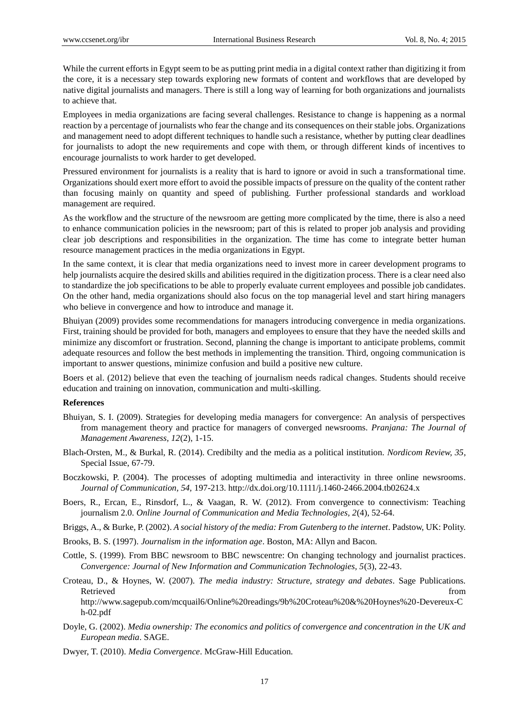While the current efforts in Egypt seem to be as putting print media in a digital context rather than digitizing it from the core, it is a necessary step towards exploring new formats of content and workflows that are developed by native digital journalists and managers. There is still a long way of learning for both organizations and journalists to achieve that.

Employees in media organizations are facing several challenges. Resistance to change is happening as a normal reaction by a percentage of journalists who fear the change and its consequences on their stable jobs. Organizations and management need to adopt different techniques to handle such a resistance, whether by putting clear deadlines for journalists to adopt the new requirements and cope with them, or through different kinds of incentives to encourage journalists to work harder to get developed.

Pressured environment for journalists is a reality that is hard to ignore or avoid in such a transformational time. Organizations should exert more effort to avoid the possible impacts of pressure on the quality of the content rather than focusing mainly on quantity and speed of publishing. Further professional standards and workload management are required.

As the workflow and the structure of the newsroom are getting more complicated by the time, there is also a need to enhance communication policies in the newsroom; part of this is related to proper job analysis and providing clear job descriptions and responsibilities in the organization. The time has come to integrate better human resource management practices in the media organizations in Egypt.

In the same context, it is clear that media organizations need to invest more in career development programs to help journalists acquire the desired skills and abilities required in the digitization process. There is a clear need also to standardize the job specifications to be able to properly evaluate current employees and possible job candidates. On the other hand, media organizations should also focus on the top managerial level and start hiring managers who believe in convergence and how to introduce and manage it.

Bhuiyan (2009) provides some recommendations for managers introducing convergence in media organizations. First, training should be provided for both, managers and employees to ensure that they have the needed skills and minimize any discomfort or frustration. Second, planning the change is important to anticipate problems, commit adequate resources and follow the best methods in implementing the transition. Third, ongoing communication is important to answer questions, minimize confusion and build a positive new culture.

Boers et al. (2012) believe that even the teaching of journalism needs radical changes. Students should receive education and training on innovation, communication and multi-skilling.

#### **References**

- Bhuiyan, S. I. (2009). Strategies for developing media managers for convergence: An analysis of perspectives from management theory and practice for managers of converged newsrooms. *Pranjana: The Journal of Management Awareness, 12*(2), 1-15.
- Blach-Orsten, M., & Burkal, R. (2014). Credibilty and the media as a political institution. *Nordicom Review, 35*, Special Issue, 67-79.
- Boczkowski, P. (2004). [The processes of adopting multimedia and interactivity in three online newsrooms.](http://onlinelibrary.wiley.com/doi/10.1111/j.1460-2466.2004.tb02624.x/abstract) *Journal of Communication, 54,* 197-213. http://dx.doi.org/10.1111/j.1460-2466.2004.tb02624.x
- Boers, R., Ercan, E., Rinsdorf, L., & Vaagan, R. W. (2012). From convergence to connectivism: Teaching journalism 2.0. *Online Journal of Communication and Media Technologies, 2*(4), 52-64.
- Briggs, A., & Burke, P. (2002). *A social history of the media: From Gutenberg to the internet*. Padstow, UK: Polity.
- Brooks, B. S. (1997). *Journalism in the information age*. Boston, MA: Allyn and Bacon.
- Cottle, S. (1999). From BBC newsroom to BBC newscentre: On changing technology and journalist practices. *Convergence: Journal of New Information and Communication Technologies, 5*(3), 22-43.
- Croteau, D., & Hoynes, W. (2007). *The media industry: Structure, strategy and debates*. Sage Publications. Retrieved that the contract of the contract of the contract of the contract of the contract of the contract of the contract of the contract of the contract of the contract of the contract of the contract of the contract of http://www.sagepub.com/mcquail6/Online%20readings/9b%20Croteau%20&%20Hoynes%20-Devereux-C
- h-02.pdf Doyle, G. (2002). *Media ownership: The economics and politics of convergence and concentration in the UK and European media*. SAGE.
- Dwyer, T. (2010). *Media Convergence*. McGraw-Hill Education.